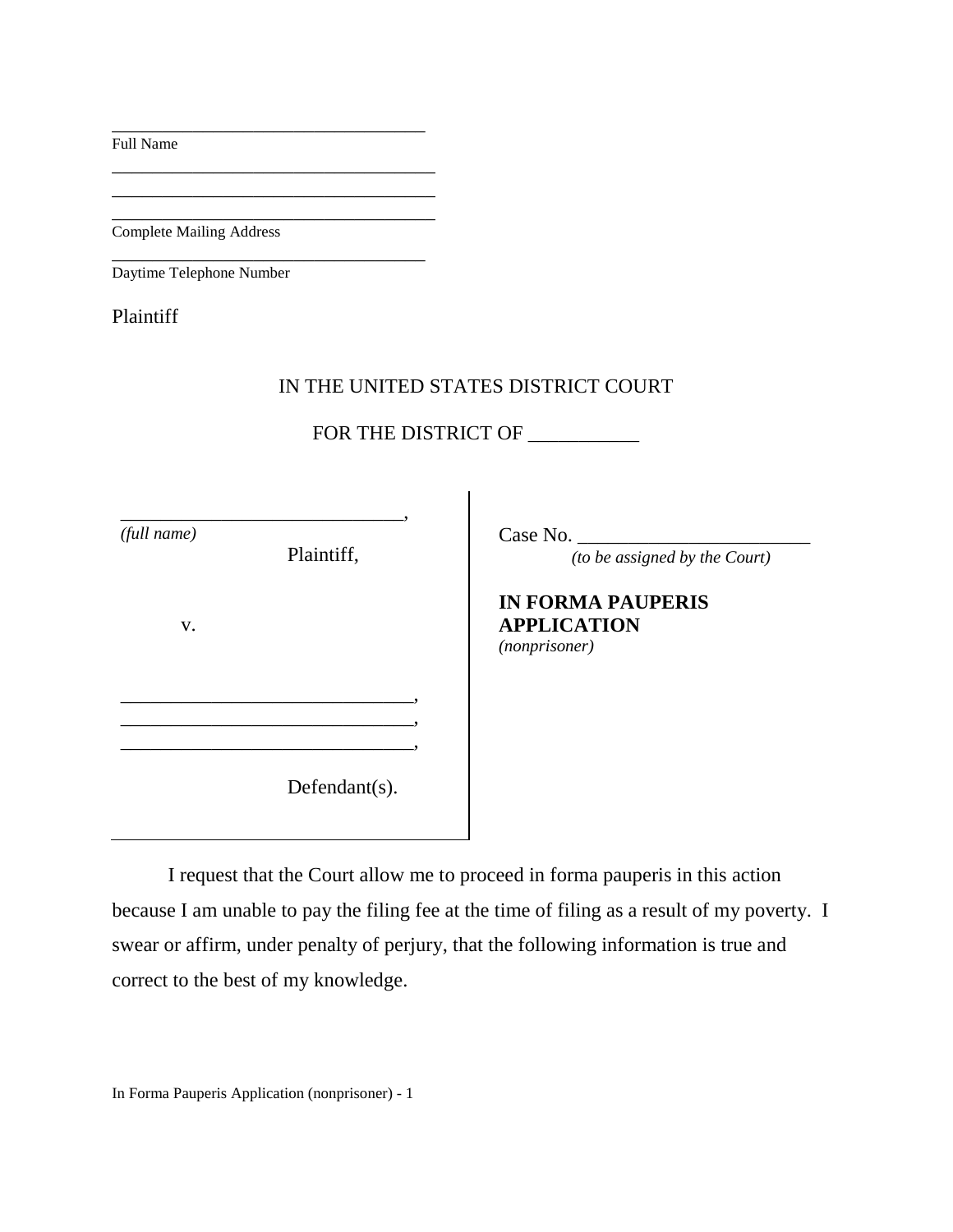Full Name

Complete Mailing Address

\_\_\_\_\_\_\_\_\_\_\_\_\_\_\_\_\_\_\_\_\_\_\_\_\_\_\_\_\_\_\_

\_\_\_\_\_\_\_\_\_\_\_\_\_\_\_\_\_\_\_\_\_\_\_\_\_\_\_\_\_\_\_\_ \_\_\_\_\_\_\_\_\_\_\_\_\_\_\_\_\_\_\_\_\_\_\_\_\_\_\_\_\_\_\_\_

\_\_\_\_\_\_\_\_\_\_\_\_\_\_\_\_\_\_\_\_\_\_\_\_\_\_\_\_\_\_\_ Daytime Telephone Number

Plaintiff

## IN THE UNITED STATES DISTRICT COURT

FOR THE DISTRICT OF \_\_\_\_\_\_\_\_\_\_\_\_

| (full name) | Plaintiff,        | Case No.<br>(to be assigned by the Court)                       |
|-------------|-------------------|-----------------------------------------------------------------|
| V.          |                   | <b>IN FORMA PAUPERIS</b><br><b>APPLICATION</b><br>(nonprisoner) |
|             |                   |                                                                 |
|             | Defendant $(s)$ . |                                                                 |

I request that the Court allow me to proceed in forma pauperis in this action because I am unable to pay the filing fee at the time of filing as a result of my poverty. I swear or affirm, under penalty of perjury, that the following information is true and correct to the best of my knowledge.

In Forma Pauperis Application (nonprisoner) - 1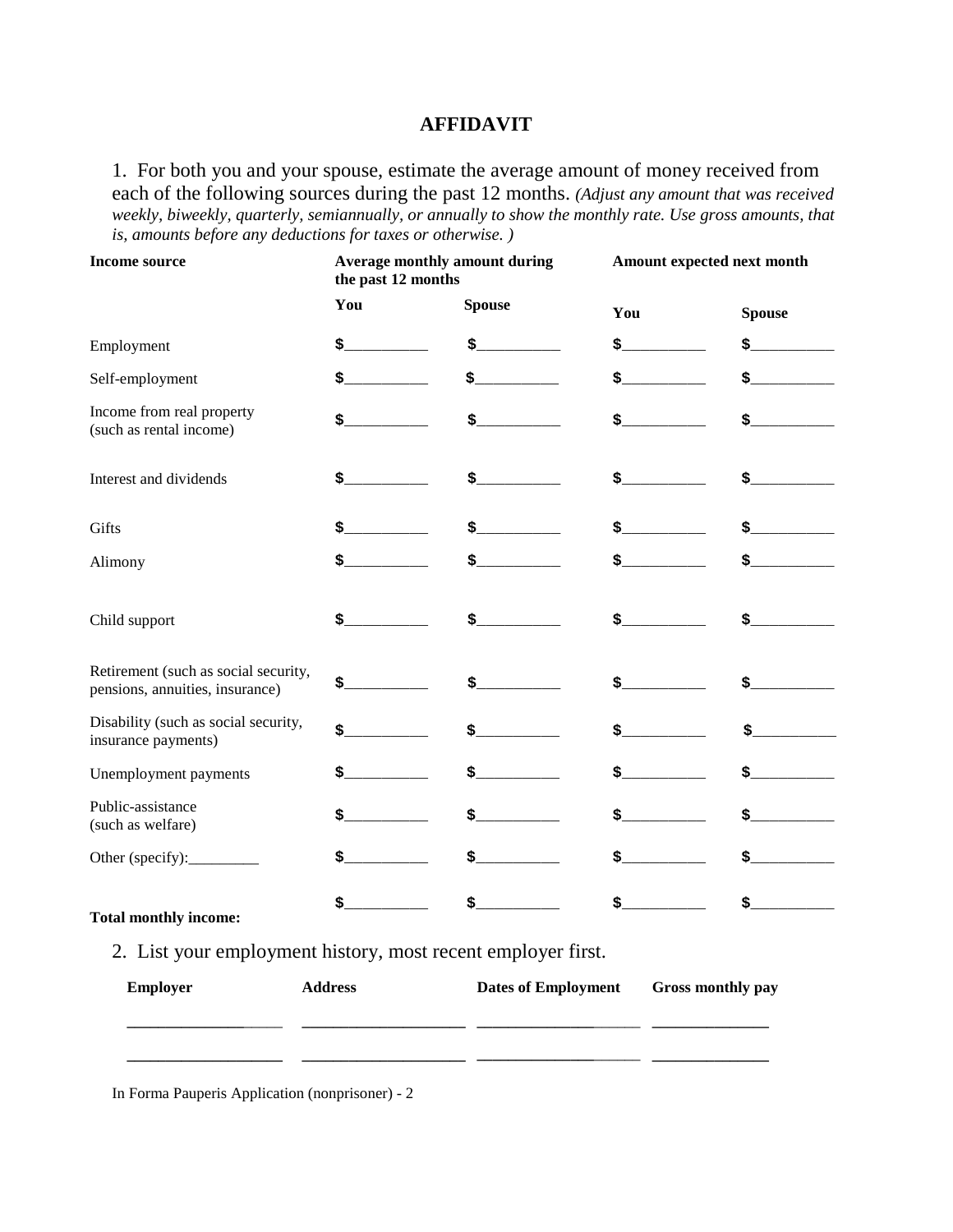## **AFFIDAVIT**

1. For both you and your spouse, estimate the average amount of money received from each of the following sources during the past 12 months. *(Adjust any amount that was received weekly, biweekly, quarterly, semiannually, or annually to show the monthly rate. Use gross amounts, that is, amounts before any deductions for taxes or otherwise. )*

| <b>Income source</b>                                                    | <b>Average monthly amount during</b><br>the past 12 months                                                                                                                                                                                                                                                                                                                                                                                                  |                                        | Amount expected next month             |                                        |
|-------------------------------------------------------------------------|-------------------------------------------------------------------------------------------------------------------------------------------------------------------------------------------------------------------------------------------------------------------------------------------------------------------------------------------------------------------------------------------------------------------------------------------------------------|----------------------------------------|----------------------------------------|----------------------------------------|
|                                                                         | You                                                                                                                                                                                                                                                                                                                                                                                                                                                         | <b>Spouse</b>                          | You                                    | <b>Spouse</b>                          |
| Employment                                                              | $\frac{1}{2}$                                                                                                                                                                                                                                                                                                                                                                                                                                               | $\frac{1}{2}$                          | $\ddot{\mathbf{s}}$                    | $\mathsf{s}$ . The set of $\mathsf{s}$ |
| Self-employment                                                         | \$______                                                                                                                                                                                                                                                                                                                                                                                                                                                    | $\frac{1}{2}$                          | $\ddot{\mathsf{s}}$                    | $\mathsf{s}\_\_\_\_\_\_\_\$            |
| Income from real property<br>(such as rental income)                    | $\mathsf{s}\hspace{2pt}\overline{\hspace{2pt}}$                                                                                                                                                                                                                                                                                                                                                                                                             | $\frac{1}{2}$                          | $\mathsf{s}$ . The set of $\mathsf{s}$ | $\mathsf{s}\_\_\_\_\_\_\_\$            |
| Interest and dividends                                                  | $\frac{1}{2}$                                                                                                                                                                                                                                                                                                                                                                                                                                               | $\frac{1}{2}$                          | $\frac{1}{2}$                          | $\mathsf{s}\_\_\_\_\_\_\_\$            |
| Gifts                                                                   | $\ddot{\mathbf{s}}$                                                                                                                                                                                                                                                                                                                                                                                                                                         | $\frac{1}{2}$                          | $\mathsf{s}$ . The set of $\mathsf{s}$ | $\frac{1}{2}$                          |
| Alimony                                                                 | \$________                                                                                                                                                                                                                                                                                                                                                                                                                                                  |                                        | $\frac{1}{2}$                          | $\mathsf{s}\_\_\_\_\_\_\$              |
| Child support                                                           | $\ddot{\mathbf{s}}$                                                                                                                                                                                                                                                                                                                                                                                                                                         | $\frac{1}{2}$                          | $\sharp$ , where $\sharp$              | $\frac{1}{2}$                          |
| Retirement (such as social security,<br>pensions, annuities, insurance) | $\mathsf{s}$ . The set of $\mathsf{s}$                                                                                                                                                                                                                                                                                                                                                                                                                      | $\frac{1}{2}$                          | $\mathsf{s}$ . The set of $\mathsf{s}$ | $\mathsf{s}$ . The set of $\mathsf{s}$ |
| Disability (such as social security,<br>insurance payments)             | $\mathsf{s}\hspace{-.1cm}\_\hspace{-.1cm}\_\hspace{-.1cm}\_\hspace{-.1cm}\_\hspace{-.1cm}\_\hspace{-.1cm}\_\hspace{-.1cm}\_\hspace{-.1cm}\_\hspace{-.1cm}\_\hspace{-.1cm}\_\hspace{-.1cm}\_\hspace{-.1cm}\_\hspace{-.1cm}\_\hspace{-.1cm}\_\hspace{-.1cm}\_\hspace{-.1cm}\_\hspace{-.1cm}\_\hspace{-.1cm}\_\hspace{-.1cm}\_\hspace{-.1cm}\_\hspace{-.1cm}\_\hspace{-.1cm}\_\hspace{-.1cm}\_\hspace{-.1cm}\_\hspace{-.1cm}\_\hspace{-.1cm}\_\hspace{-.1cm}\$ | $\mathsf{s}$ . The set of $\mathsf{s}$ | $\mathsf{s}$ . The set of $\mathsf{s}$ | \$_                                    |
| Unemployment payments                                                   |                                                                                                                                                                                                                                                                                                                                                                                                                                                             | $\frac{1}{2}$                          | \$_____                                | $\frac{1}{2}$                          |
| Public-assistance<br>(such as welfare)                                  | $\ddot{\mathbf{s}}$                                                                                                                                                                                                                                                                                                                                                                                                                                         | $\mathsf{s}$ . The set of $\mathsf{s}$ | \$                                     | $\frac{1}{2}$                          |
| Other (specify):___________                                             | \$__                                                                                                                                                                                                                                                                                                                                                                                                                                                        | $\mathsf{s}$ . The set of $\mathsf{s}$ | \$_                                    | $\mathsf{s}$ . The set of $\mathsf{s}$ |
| <b>Total monthly income:</b>                                            | \$_                                                                                                                                                                                                                                                                                                                                                                                                                                                         | \$_                                    | \$_                                    | \$_                                    |

2. List your employment history, most recent employer first.

| <b>Employer</b> | <b>Address</b> | <b>Dates of Employment</b> | Gross monthly pay |
|-----------------|----------------|----------------------------|-------------------|
|                 |                |                            |                   |
|                 |                |                            |                   |

In Forma Pauperis Application (nonprisoner) - 2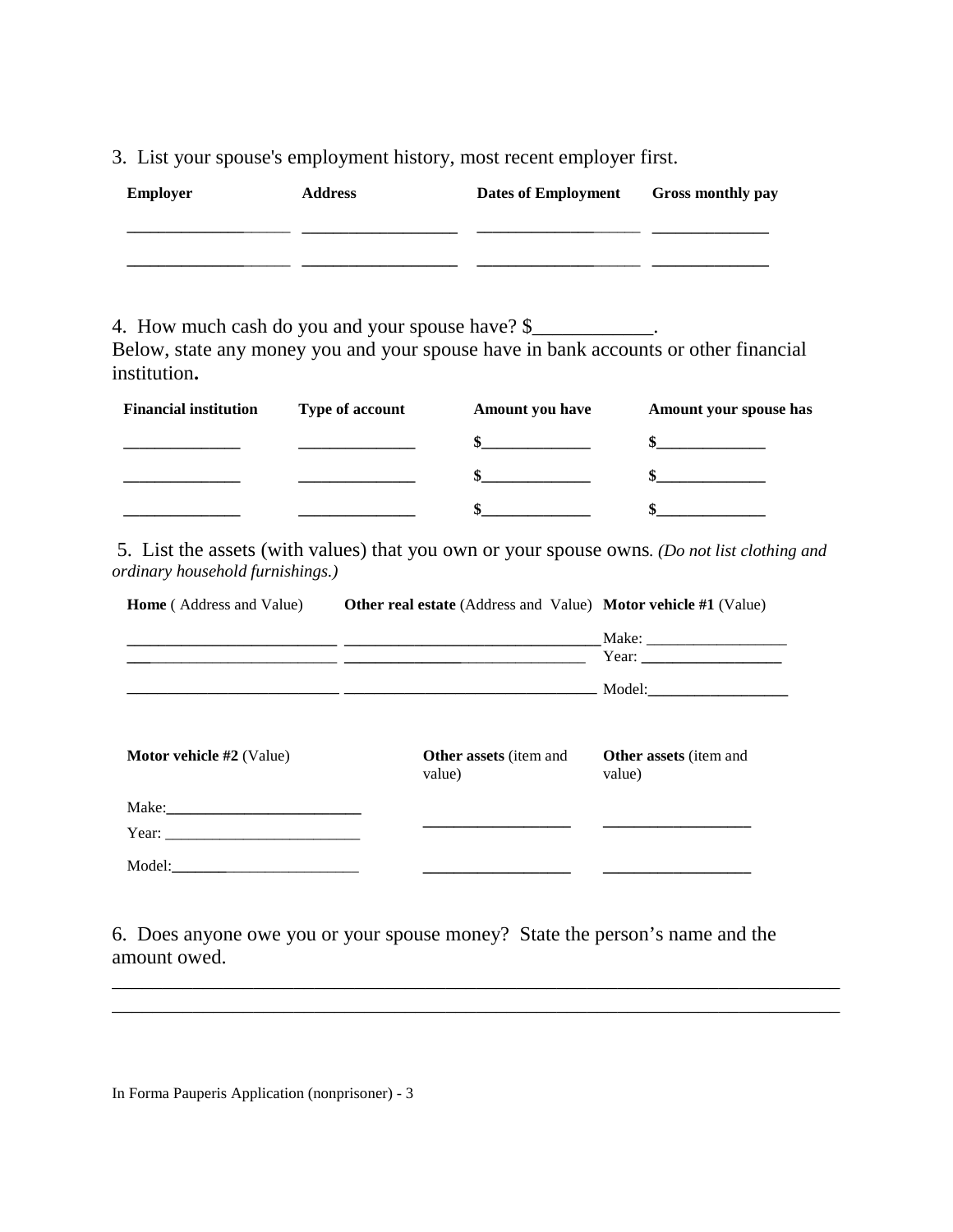3. List your spouse's employment history, most recent employer first.

| <b>Employer</b> | <b>Address</b> | <b>Dates of Employment</b> | Gross monthly pay |
|-----------------|----------------|----------------------------|-------------------|
|                 |                |                            |                   |
|                 |                |                            |                   |

4. How much cash do you and your spouse have? \$

Below, state any money you and your spouse have in bank accounts or other financial institution**.**

| <b>Financial institution</b> | <b>Type of account</b> | <b>Amount you have</b> | Amount your spouse has |
|------------------------------|------------------------|------------------------|------------------------|
|                              |                        |                        |                        |
|                              |                        |                        |                        |
|                              |                        |                        |                        |

5. List the assets (with values) that you own or your spouse owns*. (Do not list clothing and ordinary household furnishings.)*

| <b>Home</b> (Address and Value) | <b>Other real estate</b> (Address and Value) <b>Motor vehicle</b> #1 (Value) |                                         |  |
|---------------------------------|------------------------------------------------------------------------------|-----------------------------------------|--|
|                                 |                                                                              |                                         |  |
|                                 |                                                                              |                                         |  |
|                                 |                                                                              |                                         |  |
| <b>Motor vehicle #2</b> (Value) | <b>Other assets</b> (item and<br>value)                                      | <b>Other assets</b> (item and<br>value) |  |
|                                 |                                                                              |                                         |  |
| Year: $\frac{1}{2}$ Year:       |                                                                              |                                         |  |
|                                 |                                                                              |                                         |  |

6. Does anyone owe you or your spouse money? State the person's name and the amount owed.

\_\_\_\_\_\_\_\_\_\_\_\_\_\_\_\_\_\_\_\_\_\_\_\_\_\_\_\_\_\_\_\_\_\_\_\_\_\_\_\_\_\_\_\_\_\_\_\_\_\_\_\_\_\_\_\_\_\_\_\_\_\_\_\_\_\_\_\_\_\_\_\_ \_\_\_\_\_\_\_\_\_\_\_\_\_\_\_\_\_\_\_\_\_\_\_\_\_\_\_\_\_\_\_\_\_\_\_\_\_\_\_\_\_\_\_\_\_\_\_\_\_\_\_\_\_\_\_\_\_\_\_\_\_\_\_\_\_\_\_\_\_\_\_\_

In Forma Pauperis Application (nonprisoner) - 3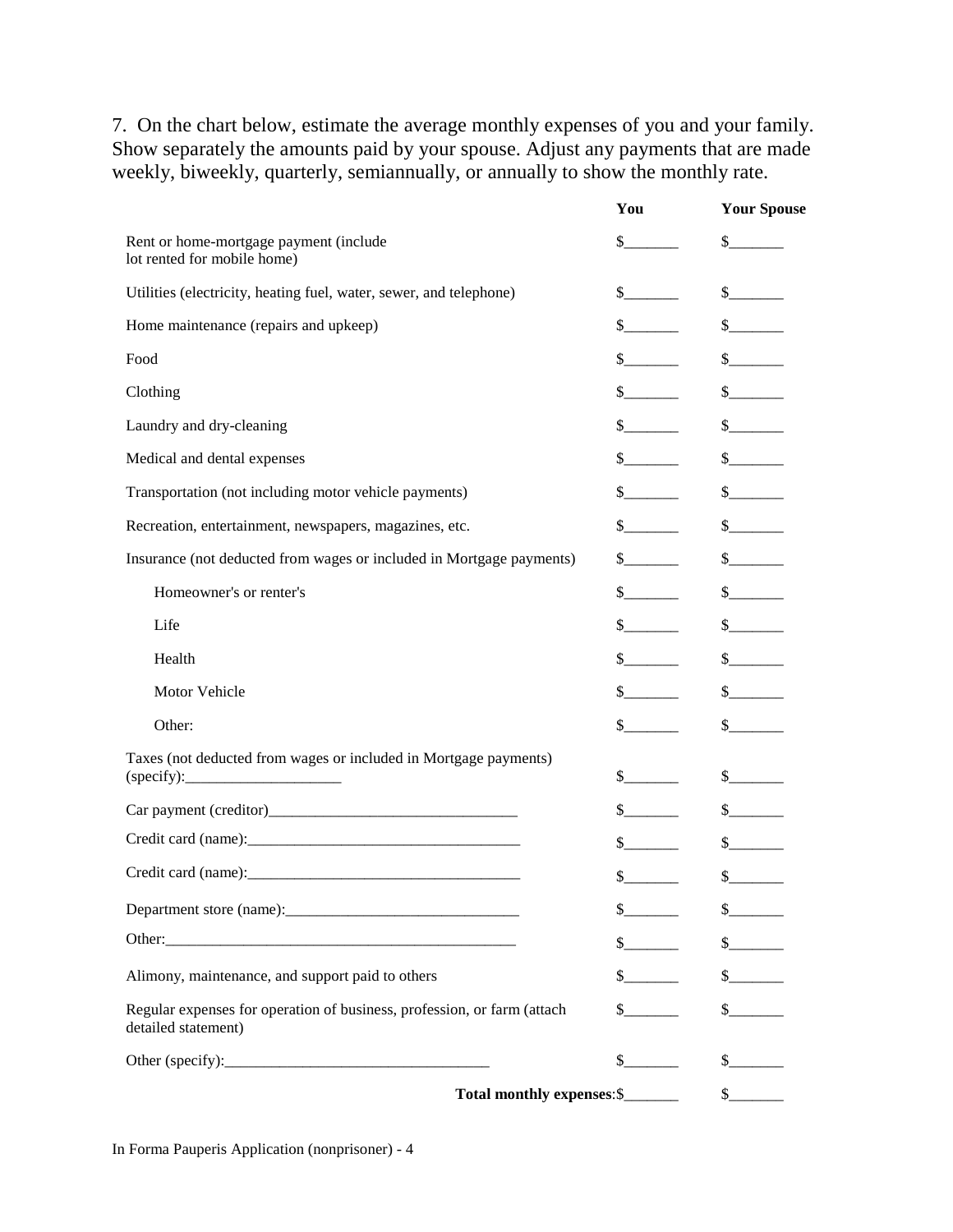7. On the chart below, estimate the average monthly expenses of you and your family. Show separately the amounts paid by your spouse. Adjust any payments that are made weekly, biweekly, quarterly, semiannually, or annually to show the monthly rate.

|                                                                                                | You                                                                                                                                                                                                                                                                                                                                                                          | <b>Your Spouse</b>              |
|------------------------------------------------------------------------------------------------|------------------------------------------------------------------------------------------------------------------------------------------------------------------------------------------------------------------------------------------------------------------------------------------------------------------------------------------------------------------------------|---------------------------------|
| Rent or home-mortgage payment (include<br>lot rented for mobile home)                          | $\sim$                                                                                                                                                                                                                                                                                                                                                                       | $\frac{1}{2}$                   |
| Utilities (electricity, heating fuel, water, sewer, and telephone)                             | $\frac{\S_{\frac{1}{2}}}{\S_{\frac{1}{2}}}{\S_{\frac{1}{2}}}{\S_{\frac{1}{2}}}{\S_{\frac{1}{2}}}{\S_{\frac{1}{2}}}{\S_{\frac{1}{2}}}{\S_{\frac{1}{2}}}{\S_{\frac{1}{2}}}{\S_{\frac{1}{2}}}{\S_{\frac{1}{2}}}{\S_{\frac{1}{2}}}{\S_{\frac{1}{2}}}{\S_{\frac{1}{2}}}{\S_{\frac{1}{2}}}{\S_{\frac{1}{2}}}{\S_{\frac{1}{2}}}{\S_{\frac{1}{2}}}{\S_{\frac{1}{2}}}{\S_{\frac{1}{2$ |                                 |
| Home maintenance (repairs and upkeep)                                                          | $\sim$                                                                                                                                                                                                                                                                                                                                                                       |                                 |
| Food                                                                                           | $\frac{\S_{\perp}}{\S_{\perp}}$                                                                                                                                                                                                                                                                                                                                              |                                 |
| Clothing                                                                                       | $\frac{\S_{\frac{1}{2}}}{\S_{\frac{1}{2}}}{\S_{\frac{1}{2}}}{\S_{\frac{1}{2}}}{\S_{\frac{1}{2}}}{\S_{\frac{1}{2}}}{\S_{\frac{1}{2}}}{\S_{\frac{1}{2}}}{\S_{\frac{1}{2}}}{\S_{\frac{1}{2}}}{\S_{\frac{1}{2}}}{\S_{\frac{1}{2}}}{\S_{\frac{1}{2}}}{\S_{\frac{1}{2}}}{\S_{\frac{1}{2}}}{\S_{\frac{1}{2}}}{\S_{\frac{1}{2}}}{\S_{\frac{1}{2}}}{\S_{\frac{1}{2}}}{\S_{\frac{1}{2$ |                                 |
| Laundry and dry-cleaning                                                                       | $\sim$                                                                                                                                                                                                                                                                                                                                                                       |                                 |
| Medical and dental expenses                                                                    | $\sim$                                                                                                                                                                                                                                                                                                                                                                       | $\sim$                          |
| Transportation (not including motor vehicle payments)                                          | $\sim$                                                                                                                                                                                                                                                                                                                                                                       | $\sim$                          |
| Recreation, entertainment, newspapers, magazines, etc.                                         | $\frac{\S_{\frac{1}{2}}}{\S_{\frac{1}{2}}}{\S_{\frac{1}{2}}}{\S_{\frac{1}{2}}}{\S_{\frac{1}{2}}}{\S_{\frac{1}{2}}}{\S_{\frac{1}{2}}}{\S_{\frac{1}{2}}}{\S_{\frac{1}{2}}}{\S_{\frac{1}{2}}}{\S_{\frac{1}{2}}}{\S_{\frac{1}{2}}}{\S_{\frac{1}{2}}}{\S_{\frac{1}{2}}}{\S_{\frac{1}{2}}}{\S_{\frac{1}{2}}}{\S_{\frac{1}{2}}}{\S_{\frac{1}{2}}}{\S_{\frac{1}{2}}}{\S_{\frac{1}{2$ | $\frac{\S_{\perp}}{\S_{\perp}}$ |
| Insurance (not deducted from wages or included in Mortgage payments)                           | $\mathbb{S}$                                                                                                                                                                                                                                                                                                                                                                 |                                 |
| Homeowner's or renter's                                                                        | $\frac{\S_{\frac{1}{2}}}{\S_{\frac{1}{2}}}{\S_{\frac{1}{2}}}{\S_{\frac{1}{2}}}{\S_{\frac{1}{2}}}{\S_{\frac{1}{2}}}{\S_{\frac{1}{2}}}{\S_{\frac{1}{2}}}{\S_{\frac{1}{2}}}{\S_{\frac{1}{2}}}{\S_{\frac{1}{2}}}{\S_{\frac{1}{2}}}{\S_{\frac{1}{2}}}{\S_{\frac{1}{2}}}{\S_{\frac{1}{2}}}{\S_{\frac{1}{2}}}{\S_{\frac{1}{2}}}{\S_{\frac{1}{2}}}{\S_{\frac{1}{2}}}{\S_{\frac{1}{2$ | $\sim$                          |
| Life                                                                                           | $\frac{\S_{\frac{1}{2}}}{\S_{\frac{1}{2}}}{\S_{\frac{1}{2}}}{\S_{\frac{1}{2}}}{\S_{\frac{1}{2}}}{\S_{\frac{1}{2}}}{\S_{\frac{1}{2}}}{\S_{\frac{1}{2}}}{\S_{\frac{1}{2}}}{\S_{\frac{1}{2}}}{\S_{\frac{1}{2}}}{\S_{\frac{1}{2}}}{\S_{\frac{1}{2}}}{\S_{\frac{1}{2}}}{\S_{\frac{1}{2}}}{\S_{\frac{1}{2}}}{\S_{\frac{1}{2}}}{\S_{\frac{1}{2}}}{\S_{\frac{1}{2}}}{\S_{\frac{1}{2$ | $\frac{1}{2}$                   |
| Health                                                                                         |                                                                                                                                                                                                                                                                                                                                                                              |                                 |
| Motor Vehicle                                                                                  | $\sim$                                                                                                                                                                                                                                                                                                                                                                       |                                 |
| Other:                                                                                         | $\sim$                                                                                                                                                                                                                                                                                                                                                                       |                                 |
| Taxes (not deducted from wages or included in Mortgage payments)<br>(specify):                 | $\sim$                                                                                                                                                                                                                                                                                                                                                                       | $\mathcal{S}$                   |
|                                                                                                | $\frac{\S_{\frac{1}{2}}}{\S_{\frac{1}{2}}}{\S_{\frac{1}{2}}}{\S_{\frac{1}{2}}}{\S_{\frac{1}{2}}}{\S_{\frac{1}{2}}}{\S_{\frac{1}{2}}}{\S_{\frac{1}{2}}}{\S_{\frac{1}{2}}}{\S_{\frac{1}{2}}}{\S_{\frac{1}{2}}}{\S_{\frac{1}{2}}}{\S_{\frac{1}{2}}}{\S_{\frac{1}{2}}}{\S_{\frac{1}{2}}}{\S_{\frac{1}{2}}}{\S_{\frac{1}{2}}}{\S_{\frac{1}{2}}}{\S_{\frac{1}{2}}}{\S_{\frac{1}{2$ | $\sim$                          |
|                                                                                                |                                                                                                                                                                                                                                                                                                                                                                              |                                 |
|                                                                                                | $\sim$                                                                                                                                                                                                                                                                                                                                                                       | $\frac{1}{2}$                   |
|                                                                                                | $\mathbb{S}$                                                                                                                                                                                                                                                                                                                                                                 | $\sim$                          |
|                                                                                                | $\frac{\S_{\frac{1}{2}}}{\S_{\frac{1}{2}}}{\S_{\frac{1}{2}}}{\S_{\frac{1}{2}}}{\S_{\frac{1}{2}}}{\S_{\frac{1}{2}}}{\S_{\frac{1}{2}}}{\S_{\frac{1}{2}}}{\S_{\frac{1}{2}}}{\S_{\frac{1}{2}}}{\S_{\frac{1}{2}}}{\S_{\frac{1}{2}}}{\S_{\frac{1}{2}}}{\S_{\frac{1}{2}}}{\S_{\frac{1}{2}}}{\S_{\frac{1}{2}}}{\S_{\frac{1}{2}}}{\S_{\frac{1}{2}}}{\S_{\frac{1}{2}}}{\S_{\frac{1}{2$ | s                               |
| Alimony, maintenance, and support paid to others                                               | s                                                                                                                                                                                                                                                                                                                                                                            | $\frac{1}{2}$                   |
| Regular expenses for operation of business, profession, or farm (attach<br>detailed statement) | $\mathbb{S}$                                                                                                                                                                                                                                                                                                                                                                 | $\frac{1}{2}$                   |
|                                                                                                | $\frac{1}{2}$                                                                                                                                                                                                                                                                                                                                                                |                                 |
| Total monthly expenses: \$                                                                     |                                                                                                                                                                                                                                                                                                                                                                              | $\frac{1}{2}$                   |